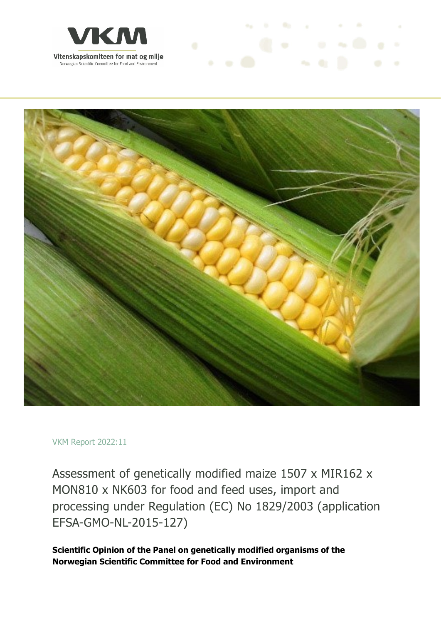



#### VKM Report 2022:11

Assessment of genetically modified maize 1507 x MIR162 x MON810 x NK603 for food and feed uses, import and processing under Regulation (EC) No 1829/2003 (application EFSA-GMO-NL-2015-127)

**Scientific Opinion of the Panel on genetically modified organisms of the Norwegian Scientific Committee for Food and Environment**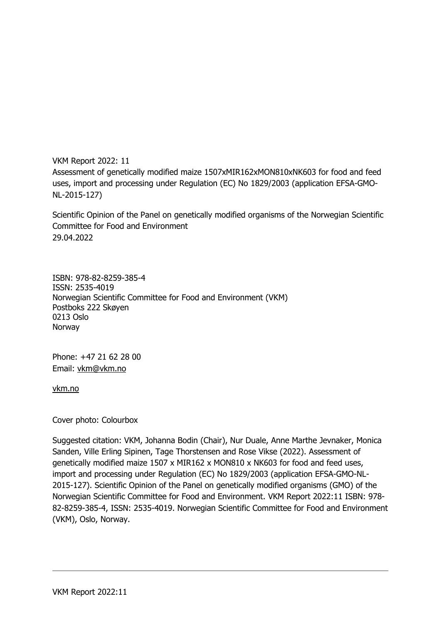VKM Report 2022: 11 Assessment of genetically modified maize 1507xMIR162xMON810xNK603 for food and feed uses, import and processing under Regulation (EC) No 1829/2003 (application EFSA-GMO-NL-2015-127)

Scientific Opinion of the Panel on genetically modified organisms of the Norwegian Scientific Committee for Food and Environment 29.04.2022

ISBN: 978-82-8259-385-4 ISSN: 2535-4019 Norwegian Scientific Committee for Food and Environment (VKM) Postboks 222 Skøyen 0213 Oslo Norway

Phone: +47 21 62 28 00 Email: vkm@vkm.no

vkm.no

Cover photo: Colourbox

Suggested citation: VKM, Johanna Bodin (Chair), Nur Duale, Anne Marthe Jevnaker, Monica Sanden, Ville Erling Sipinen, Tage Thorstensen and Rose Vikse (2022). Assessment of genetically modified maize 1507 x MIR162 x MON810 x NK603 for food and feed uses, import and processing under Regulation (EC) No 1829/2003 (application EFSA-GMO-NL-2015-127). Scientific Opinion of the Panel on genetically modified organisms (GMO) of the Norwegian Scientific Committee for Food and Environment. VKM Report 2022:11 ISBN: 978- 82-8259-385-4, ISSN: 2535-4019. Norwegian Scientific Committee for Food and Environment (VKM), Oslo, Norway.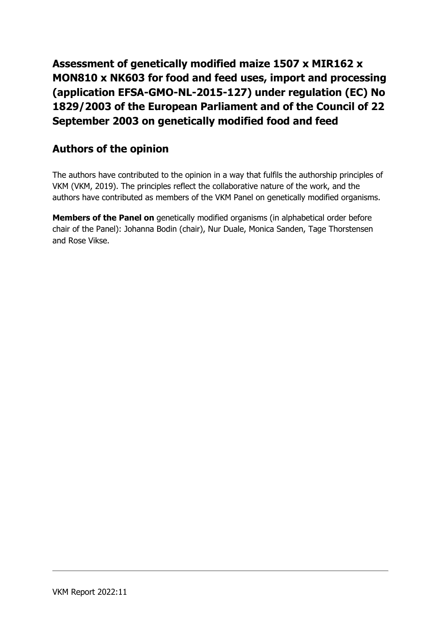**Assessment of genetically modified maize 1507 x MIR162 x MON810 x NK603 for food and feed uses, import and processing (application EFSA-GMO-NL-2015-127) under regulation (EC) No 1829/2003 of the European Parliament and of the Council of 22 September 2003 on genetically modified food and feed**

#### **Authors of the opinion**

The authors have contributed to the opinion in a way that fulfils the authorship principles of VKM (VKM, 2019). The principles reflect the collaborative nature of the work, and the authors have contributed as members of the VKM Panel on genetically modified organisms.

**Members of the Panel on** genetically modified organisms (in alphabetical order before chair of the Panel): Johanna Bodin (chair), Nur Duale, Monica Sanden, Tage Thorstensen and Rose Vikse.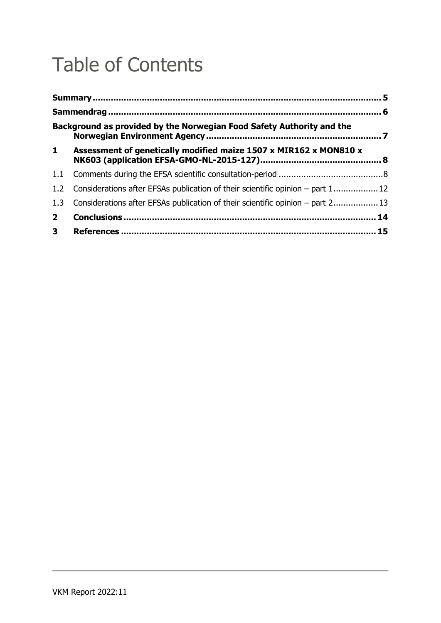### Table of Contents

|                | Background as provided by the Norwegian Food Safety Authority and the          |  |  |  |
|----------------|--------------------------------------------------------------------------------|--|--|--|
| $\mathbf{1}$   | Assessment of genetically modified maize 1507 x MIR162 x MON810 x              |  |  |  |
| 1.1            |                                                                                |  |  |  |
| 1.2            | Considerations after EFSAs publication of their scientific opinion – part 1 12 |  |  |  |
| 1.3            | Considerations after EFSAs publication of their scientific opinion – part 2 13 |  |  |  |
| $2^{\circ}$    |                                                                                |  |  |  |
| 3 <sup>7</sup> |                                                                                |  |  |  |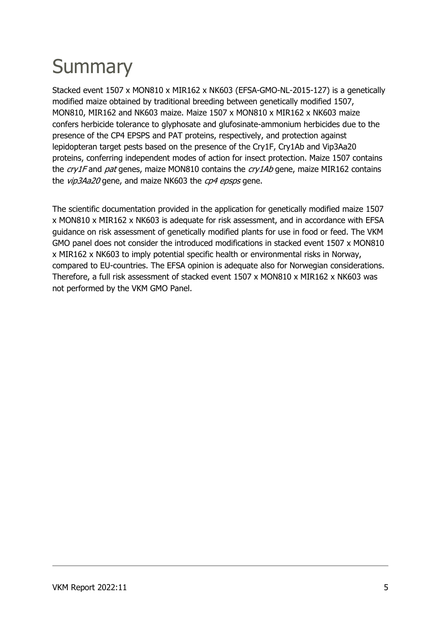## **Summary**

Stacked event 1507 x MON810 x MIR162 x NK603 (EFSA-GMO-NL-2015-127) is a genetically modified maize obtained by traditional breeding between genetically modified 1507, MON810, MIR162 and NK603 maize. Maize 1507 x MON810 x MIR162 x NK603 maize confers herbicide tolerance to glyphosate and glufosinate-ammonium herbicides due to the presence of the CP4 EPSPS and PAT proteins, respectively, and protection against lepidopteran target pests based on the presence of the Cry1F, Cry1Ab and Vip3Aa20 proteins, conferring independent modes of action for insect protection. Maize 1507 contains the  $cry1F$  and pat genes, maize MON810 contains the  $cry1Ab$  gene, maize MIR162 contains the *vip3Aa20* gene, and maize NK603 the *cp4 epsps* gene.

The scientific documentation provided in the application for genetically modified maize 1507 x MON810 x MIR162 x NK603 is adequate for risk assessment, and in accordance with EFSA guidance on risk assessment of genetically modified plants for use in food or feed. The VKM GMO panel does not consider the introduced modifications in stacked event 1507 x MON810 x MIR162 x NK603 to imply potential specific health or environmental risks in Norway, compared to EU-countries. The EFSA opinion is adequate also for Norwegian considerations. Therefore, a full risk assessment of stacked event 1507 x MON810 x MIR162 x NK603 was not performed by the VKM GMO Panel.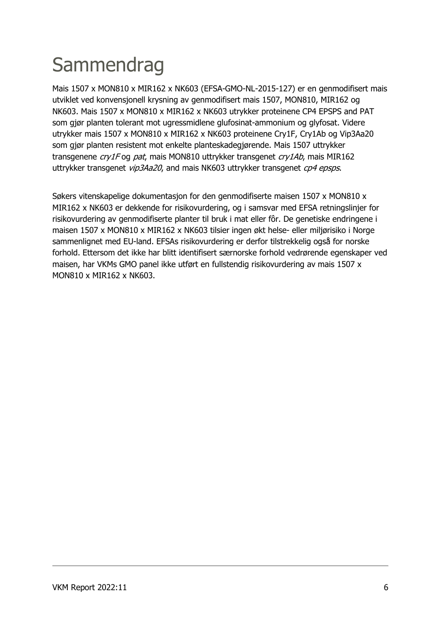## Sammendrag

Mais 1507 x MON810 x MIR162 x NK603 (EFSA-GMO-NL-2015-127) er en genmodifisert mais utviklet ved konvensjonell krysning av genmodifisert mais 1507, MON810, MIR162 og NK603. Mais 1507 x MON810 x MIR162 x NK603 utrykker proteinene CP4 EPSPS and PAT som gjør planten tolerant mot ugressmidlene glufosinat-ammonium og glyfosat. Videre utrykker mais 1507 x MON810 x MIR162 x NK603 proteinene Cry1F, Cry1Ab og Vip3Aa20 som gjør planten resistent mot enkelte planteskadegjørende. Mais 1507 uttrykker transgenene cry1F og pat, mais MON810 uttrykker transgenet cry1Ab, mais MIR162 uttrykker transgenet *vip3Aa20*, and mais NK603 uttrykker transgenet *cp4 epsps*.

Søkers vitenskapelige dokumentasjon for den genmodifiserte maisen 1507 x MON810 x MIR162 x NK603 er dekkende for risikovurdering, og i samsvar med EFSA retningslinjer for risikovurdering av genmodifiserte planter til bruk i mat eller fôr. De genetiske endringene i maisen 1507 x MON810 x MIR162 x NK603 tilsier ingen økt helse- eller miljørisiko i Norge sammenlignet med EU-land. EFSAs risikovurdering er derfor tilstrekkelig også for norske forhold. Ettersom det ikke har blitt identifisert særnorske forhold vedrørende egenskaper ved maisen, har VKMs GMO panel ikke utført en fullstendig risikovurdering av mais 1507 x MON810 x MIR162 x NK603.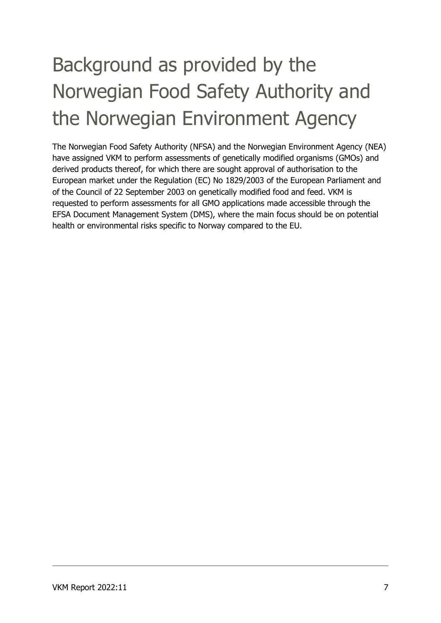# Background as provided by the Norwegian Food Safety Authority and the Norwegian Environment Agency

The Norwegian Food Safety Authority (NFSA) and the Norwegian Environment Agency (NEA) have assigned VKM to perform assessments of genetically modified organisms (GMOs) and derived products thereof, for which there are sought approval of authorisation to the European market under the Regulation (EC) No 1829/2003 of the European Parliament and of the Council of 22 September 2003 on genetically modified food and feed. VKM is requested to perform assessments for all GMO applications made accessible through the EFSA Document Management System (DMS), where the main focus should be on potential health or environmental risks specific to Norway compared to the EU.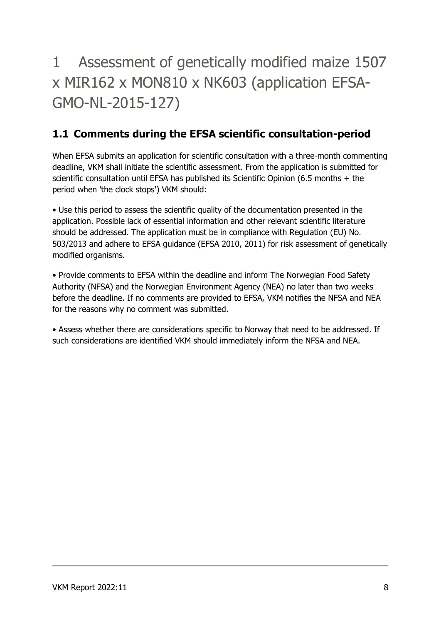1 Assessment of genetically modified maize 1507 x MIR162 x MON810 x NK603 (application EFSA-GMO-NL-2015-127)

#### **1.1 Comments during the EFSA scientific consultation-period**

When EFSA submits an application for scientific consultation with a three-month commenting deadline, VKM shall initiate the scientific assessment. From the application is submitted for scientific consultation until EFSA has published its Scientific Opinion (6.5 months + the period when 'the clock stops') VKM should:

• Use this period to assess the scientific quality of the documentation presented in the application. Possible lack of essential information and other relevant scientific literature should be addressed. The application must be in compliance with Regulation (EU) No. 503/2013 and adhere to EFSA guidance (EFSA 2010, 2011) for risk assessment of genetically modified organisms.

• Provide comments to EFSA within the deadline and inform The Norwegian Food Safety Authority (NFSA) and the Norwegian Environment Agency (NEA) no later than two weeks before the deadline. If no comments are provided to EFSA, VKM notifies the NFSA and NEA for the reasons why no comment was submitted.

• Assess whether there are considerations specific to Norway that need to be addressed. If such considerations are identified VKM should immediately inform the NFSA and NEA.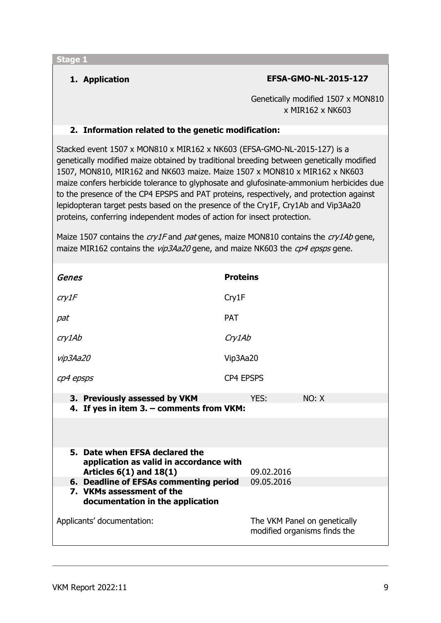#### **1. Application EFSA-GMO-NL-2015-127**

Genetically modified 1507 x MON810 x MIR162 x NK603

#### **2. Information related to the genetic modification:**

Stacked event 1507 x MON810 x MIR162 x NK603 (EFSA-GMO-NL-2015-127) is a genetically modified maize obtained by traditional breeding between genetically modified 1507, MON810, MIR162 and NK603 maize. Maize 1507 x MON810 x MIR162 x NK603 maize confers herbicide tolerance to glyphosate and glufosinate-ammonium herbicides due to the presence of the CP4 EPSPS and PAT proteins, respectively, and protection against lepidopteran target pests based on the presence of the Cry1F, Cry1Ab and Vip3Aa20 proteins, conferring independent modes of action for insect protection.

Maize 1507 contains the  $cry1F$  and pat genes, maize MON810 contains the  $cry1Ab$  gene, maize MIR162 contains the *vip3Aa20* gene, and maize NK603 the *cp4 epsps* gene.

| Genes                                                                  | <b>Proteins</b>                                              |  |  |
|------------------------------------------------------------------------|--------------------------------------------------------------|--|--|
| cry1F                                                                  | Cry1F                                                        |  |  |
| pat                                                                    | <b>PAT</b>                                                   |  |  |
| cry1Ab                                                                 | Cry1Ab                                                       |  |  |
| vip3Aa20                                                               | Vip3Aa20                                                     |  |  |
| cp4 epsps                                                              | <b>CP4 EPSPS</b>                                             |  |  |
| 3. Previously assessed by VKM                                          | NO: X<br>YES:                                                |  |  |
| 4. If yes in item 3. - comments from VKM:                              |                                                              |  |  |
|                                                                        |                                                              |  |  |
| 5. Date when EFSA declared the                                         |                                                              |  |  |
| application as valid in accordance with<br>Articles $6(1)$ and $18(1)$ | 09.02.2016                                                   |  |  |
| 6. Deadline of EFSAs commenting period                                 | 09.05.2016                                                   |  |  |
| 7. VKMs assessment of the<br>documentation in the application          |                                                              |  |  |
| Applicants' documentation:                                             | The VKM Panel on genetically<br>modified organisms finds the |  |  |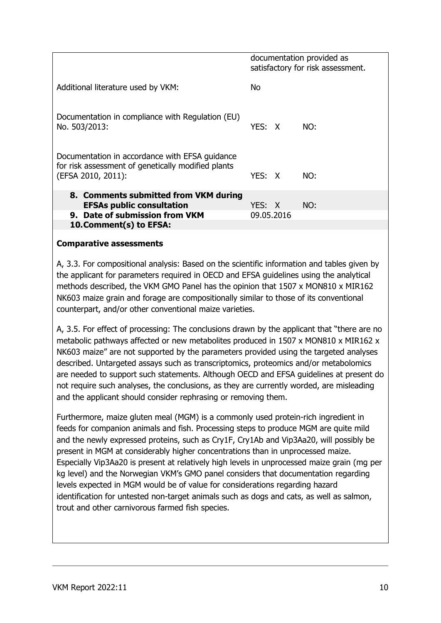|                                                                                                                            | documentation provided as<br>satisfactory for risk assessment. |  |
|----------------------------------------------------------------------------------------------------------------------------|----------------------------------------------------------------|--|
| Additional literature used by VKM:                                                                                         | No.                                                            |  |
| Documentation in compliance with Regulation (EU)<br>No. 503/2013:                                                          | YES: X<br>NO:                                                  |  |
| Documentation in accordance with EFSA guidance<br>for risk assessment of genetically modified plants<br>(EFSA 2010, 2011): | YFS: X<br>NO:                                                  |  |
| 8. Comments submitted from VKM during<br><b>EFSAs public consultation</b>                                                  | NO:<br>YES: X                                                  |  |
| 9. Date of submission from VKM                                                                                             | 09.05.2016                                                     |  |
| 10. Comment(s) to EFSA:                                                                                                    |                                                                |  |

#### **Comparative assessments**

A, 3.3. For compositional analysis: Based on the scientific information and tables given by the applicant for parameters required in OECD and EFSA guidelines using the analytical methods described, the VKM GMO Panel has the opinion that 1507 x MON810 x MIR162 NK603 maize grain and forage are compositionally similar to those of its conventional counterpart, and/or other conventional maize varieties.

A, 3.5. For effect of processing: The conclusions drawn by the applicant that "there are no metabolic pathways affected or new metabolites produced in 1507 x MON810 x MIR162 x NK603 maize" are not supported by the parameters provided using the targeted analyses described. Untargeted assays such as transcriptomics, proteomics and/or metabolomics are needed to support such statements. Although OECD and EFSA guidelines at present do not require such analyses, the conclusions, as they are currently worded, are misleading and the applicant should consider rephrasing or removing them.

Furthermore, maize gluten meal (MGM) is a commonly used protein-rich ingredient in feeds for companion animals and fish. Processing steps to produce MGM are quite mild and the newly expressed proteins, such as Cry1F, Cry1Ab and Vip3Aa20, will possibly be present in MGM at considerably higher concentrations than in unprocessed maize. Especially Vip3Aa20 is present at relatively high levels in unprocessed maize grain (mg per kg level) and the Norwegian VKM's GMO panel considers that documentation regarding levels expected in MGM would be of value for considerations regarding hazard identification for untested non-target animals such as dogs and cats, as well as salmon, trout and other carnivorous farmed fish species.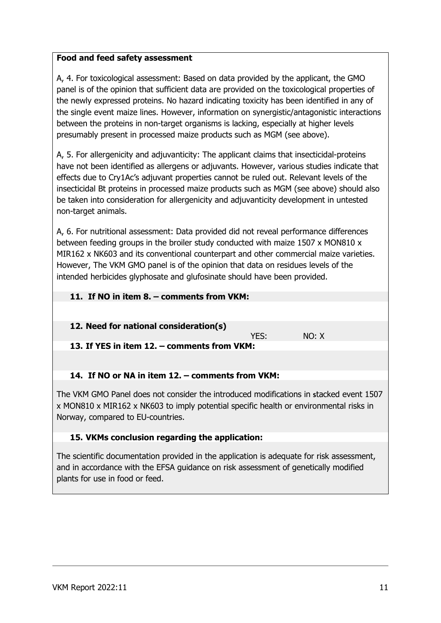#### **Food and feed safety assessment**

A, 4. For toxicological assessment: Based on data provided by the applicant, the GMO panel is of the opinion that sufficient data are provided on the toxicological properties of the newly expressed proteins. No hazard indicating toxicity has been identified in any of the single event maize lines. However, information on synergistic/antagonistic interactions between the proteins in non-target organisms is lacking, especially at higher levels presumably present in processed maize products such as MGM (see above).

A, 5. For allergenicity and adjuvanticity: The applicant claims that insecticidal-proteins have not been identified as allergens or adjuvants. However, various studies indicate that effects due to Cry1Ac's adjuvant properties cannot be ruled out. Relevant levels of the insecticidal Bt proteins in processed maize products such as MGM (see above) should also be taken into consideration for allergenicity and adjuvanticity development in untested non-target animals.

A, 6. For nutritional assessment: Data provided did not reveal performance differences between feeding groups in the broiler study conducted with maize 1507 x MON810 x MIR162 x NK603 and its conventional counterpart and other commercial maize varieties. However, The VKM GMO panel is of the opinion that data on residues levels of the intended herbicides glyphosate and glufosinate should have been provided.

### **11. If NO in item 8. – comments from VKM: 12. Need for national consideration(s)** YES: NO: X **13. If YES in item 12. – comments from VKM: 14. If NO or NA in item 12. – comments from VKM:** The VKM GMO Panel does not consider the introduced modifications in **s**tacked event 1507

x MON810 x MIR162 x NK603 to imply potential specific health or environmental risks in Norway, compared to EU-countries.

#### **15. VKMs conclusion regarding the application:**

The scientific documentation provided in the application is adequate for risk assessment, and in accordance with the EFSA guidance on risk assessment of genetically modified plants for use in food or feed.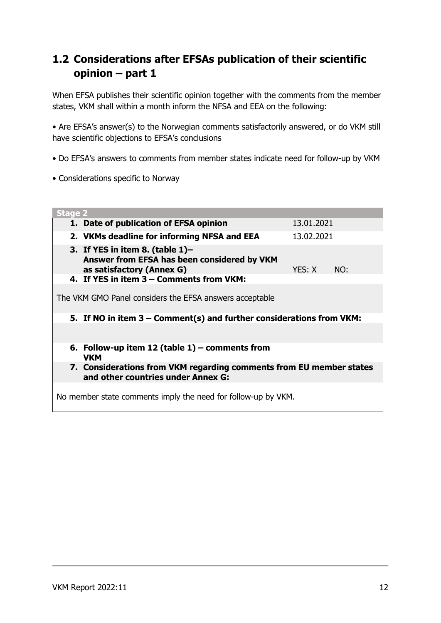### **1.2 Considerations after EFSAs publication of their scientific opinion – part 1**

When EFSA publishes their scientific opinion together with the comments from the member states, VKM shall within a month inform the NFSA and EEA on the following:

• Are EFSA's answer(s) to the Norwegian comments satisfactorily answered, or do VKM still have scientific objections to EFSA's conclusions

- Do EFSA's answers to comments from member states indicate need for follow-up by VKM
- Considerations specific to Norway

| <b>Stage 2</b>                                                                                                                  |            |            |  |  |  |  |
|---------------------------------------------------------------------------------------------------------------------------------|------------|------------|--|--|--|--|
| 1. Date of publication of EFSA opinion                                                                                          | 13.01.2021 |            |  |  |  |  |
| 2. VKMs deadline for informing NFSA and EEA                                                                                     |            | 13.02.2021 |  |  |  |  |
| 3. If YES in item 8. (table $1$ )-<br>Answer from EFSA has been considered by VKM<br>as satisfactory (Annex G)                  | YES: X     | NO:        |  |  |  |  |
| 4. If YES in item 3 - Comments from VKM:                                                                                        |            |            |  |  |  |  |
| The VKM GMO Panel considers the EFSA answers acceptable<br>5. If NO in item 3 – Comment(s) and further considerations from VKM: |            |            |  |  |  |  |
| 6. Follow-up item 12 (table $1$ ) – comments from<br>VKM                                                                        |            |            |  |  |  |  |
| 7. Considerations from VKM regarding comments from EU member states<br>and other countries under Annex G:                       |            |            |  |  |  |  |
| No member state comments imply the need for follow-up by VKM.                                                                   |            |            |  |  |  |  |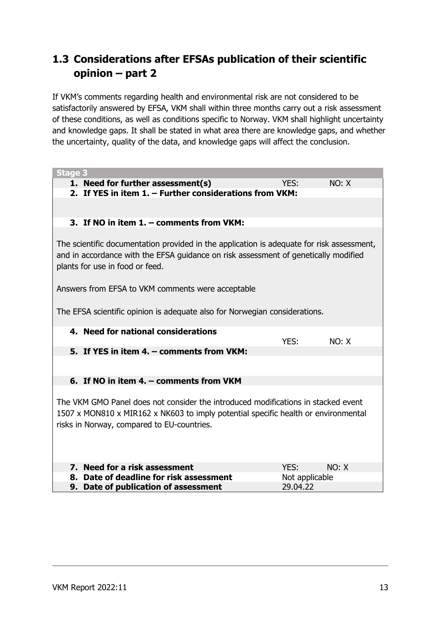### **1.3 Considerations after EFSAs publication of their scientific opinion – part 2**

If VKM's comments regarding health and environmental risk are not considered to be satisfactorily answered by EFSA, VKM shall within three months carry out a risk assessment of these conditions, as well as conditions specific to Norway. VKM shall highlight uncertainty and knowledge gaps. It shall be stated in what area there are knowledge gaps, and whether the uncertainty, quality of the data, and knowledge gaps will affect the conclusion.

| <b>Stage 3</b>                                                                                                                                                                                                        |                |       |  |  |  |
|-----------------------------------------------------------------------------------------------------------------------------------------------------------------------------------------------------------------------|----------------|-------|--|--|--|
| 1. Need for further assessment(s)                                                                                                                                                                                     | YES:           | NO: X |  |  |  |
| 2. If YES in item 1. - Further considerations from VKM:                                                                                                                                                               |                |       |  |  |  |
|                                                                                                                                                                                                                       |                |       |  |  |  |
|                                                                                                                                                                                                                       |                |       |  |  |  |
| 3. If NO in item 1. - comments from VKM:                                                                                                                                                                              |                |       |  |  |  |
| The scientific documentation provided in the application is adequate for risk assessment,<br>and in accordance with the EFSA guidance on risk assessment of genetically modified<br>plants for use in food or feed.   |                |       |  |  |  |
| Answers from EFSA to VKM comments were acceptable                                                                                                                                                                     |                |       |  |  |  |
| The EFSA scientific opinion is adequate also for Norwegian considerations.                                                                                                                                            |                |       |  |  |  |
| 4. Need for national considerations                                                                                                                                                                                   | YES:           | NO: X |  |  |  |
| 5. If YES in item 4. - comments from VKM:                                                                                                                                                                             |                |       |  |  |  |
|                                                                                                                                                                                                                       |                |       |  |  |  |
| 6. If NO in item 4. – comments from VKM                                                                                                                                                                               |                |       |  |  |  |
| The VKM GMO Panel does not consider the introduced modifications in stacked event<br>1507 x MON810 x MIR162 x NK603 to imply potential specific health or environmental<br>risks in Norway, compared to EU-countries. |                |       |  |  |  |
| 7. Need for a risk assessment                                                                                                                                                                                         | YES:           | NO: X |  |  |  |
| 8. Date of deadline for risk assessment                                                                                                                                                                               | Not applicable |       |  |  |  |
| 9. Date of publication of assessment                                                                                                                                                                                  | 29.04.22       |       |  |  |  |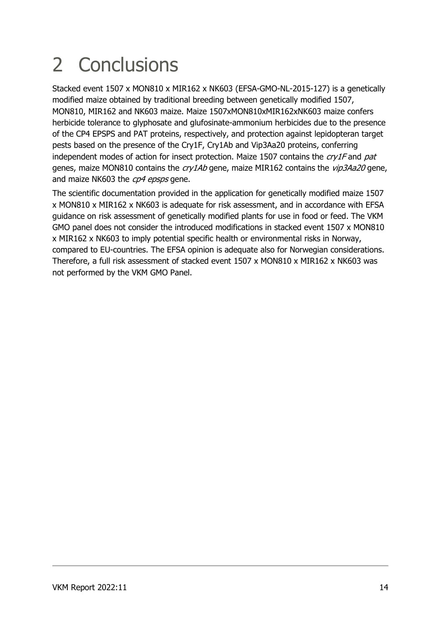### 2 Conclusions

Stacked event 1507 x MON810 x MIR162 x NK603 (EFSA-GMO-NL-2015-127) is a genetically modified maize obtained by traditional breeding between genetically modified 1507, MON810, MIR162 and NK603 maize. Maize 1507xMON810xMIR162xNK603 maize confers herbicide tolerance to glyphosate and glufosinate-ammonium herbicides due to the presence of the CP4 EPSPS and PAT proteins, respectively, and protection against lepidopteran target pests based on the presence of the Cry1F, Cry1Ab and Vip3Aa20 proteins, conferring independent modes of action for insect protection. Maize 1507 contains the  $\frac{cry}{F}$  and pat genes, maize MON810 contains the cry1Ab gene, maize MIR162 contains the vip3Aa20 gene, and maize NK603 the cp4 epsps gene.

The scientific documentation provided in the application for genetically modified maize 1507 x MON810 x MIR162 x NK603 is adequate for risk assessment, and in accordance with EFSA guidance on risk assessment of genetically modified plants for use in food or feed. The VKM GMO panel does not consider the introduced modifications in stacked event 1507 x MON810 x MIR162 x NK603 to imply potential specific health or environmental risks in Norway, compared to EU-countries. The EFSA opinion is adequate also for Norwegian considerations. Therefore, a full risk assessment of stacked event 1507 x MON810 x MIR162 x NK603 was not performed by the VKM GMO Panel.